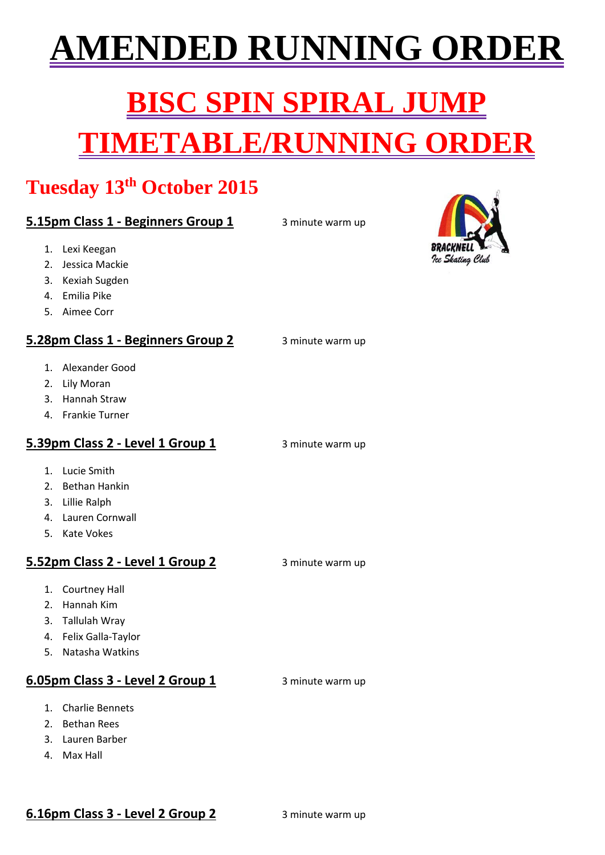## **(ENDED RUNNING ORDE)**

# **ISC SPIN SPIRAL . TIMETABLE/RUNNING ORDER**

### **Tuesday 13th October 2015**

#### **5.15pm Class 1 - Beginners Group 1** 3 minute warm up

- 1. Lexi Keegan
- 2. Jessica Mackie
- 3. Kexiah Sugden
- 4. Emilia Pike
- 5. Aimee Corr

#### **5.28pm Class 1 - Beginners Group 2** 3 minute warm up

- 1. Alexander Good
- 2. Lily Moran
- 3. Hannah Straw
- 4. Frankie Turner

#### **5.39pm Class 2 - Level 1 Group 1** 3 minute warm up

- 1. Lucie Smith
- 2. Bethan Hankin
- 3. Lillie Ralph
- 4. Lauren Cornwall
- 5. Kate Vokes

#### **5.52pm Class 2 - Level 1 Group 2** 3 minute warm up

- 1. Courtney Hall
- 2. Hannah Kim
- 3. Tallulah Wray
- 4. Felix Galla-Taylor
- 5. Natasha Watkins

#### **6.05pm Class 3 - Level 2 Group 1** 3 minute warm up

- 1. Charlie Bennets
- 2. Bethan Rees
- 3. Lauren Barber
- 4. Max Hall

#### **6.16pm Class 3 - Level 2 Group 2** 3 minute warm up